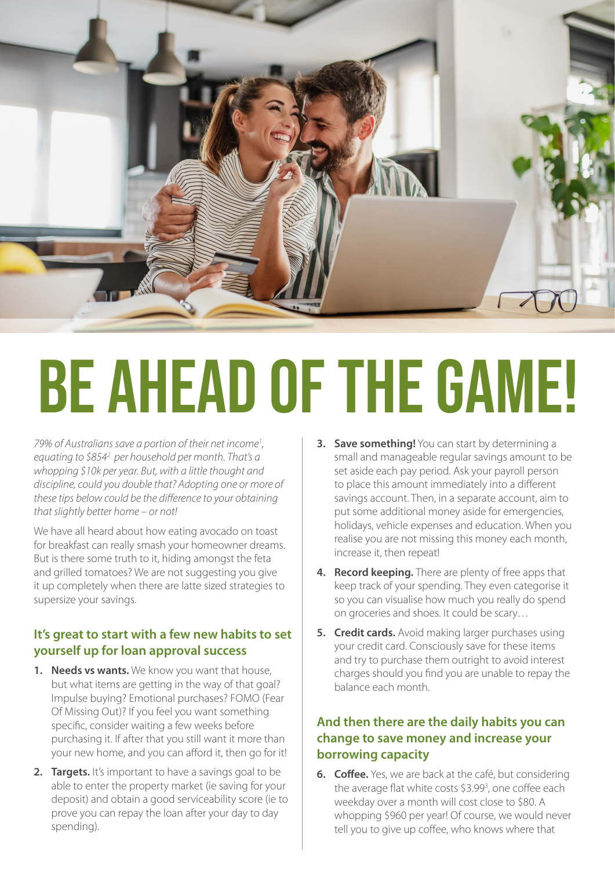

## BE AHEAD OF THE GAME!

*79% of Australians save a portion of their net income1 , equating to \$8542 per household per month. That's a whopping \$10k per year. But, with a little thought and discipline, could you double that? Adopting one or more of these tips below could be the difference to your obtaining that slightly better home – or not!*

We have all heard about how eating avocado on toast for breakfast can really smash your homeowner dreams. But is there some truth to it, hiding amongst the feta and grilled tomatoes? We are not suggesting you give it up completely when there are latte sized strategies to supersize your savings.

## **It's great to start with a few new habits to set yourself up for loan approval success**

- **1. Needs vs wants.** We know you want that house, but what items are getting in the way of that goal? Impulse buying? Emotional purchases? FOMO (Fear Of Missing Out)? If you feel you want something specific, consider waiting a few weeks before purchasing it. If after that you still want it more than your new home, and you can afford it, then go for it!
- **2. Targets.** It's important to have a savings goal to be able to enter the property market (ie saving for your deposit) and obtain a good serviceability score (ie to prove you can repay the loan after your day to day spending).
- **3. Save something!** You can start by determining a small and manageable regular savings amount to be set aside each pay period. Ask your payroll person to place this amount immediately into a different savings account. Then, in a separate account, aim to put some additional money aside for emergencies, holidays, vehicle expenses and education. When you realise you are not missing this money each month, increase it, then repeat!
- **4. Record keeping.** There are plenty of free apps that keep track of your spending. They even categorise it so you can visualise how much you really do spend on groceries and shoes. It could be scary…
- **5. Credit cards.** Avoid making larger purchases using your credit card. Consciously save for these items and try to purchase them outright to avoid interest charges should you find you are unable to repay the balance each month.

## **And then there are the daily habits you can change to save money and increase your borrowing capacity**

**6. Coffee.** Yes, we are back at the café, but considering the average flat white costs \$3.99<sup>3</sup>, one coffee each weekday over a month will cost close to \$80. A whopping \$960 per year! Of course, we would never tell you to give up coffee, who knows where that